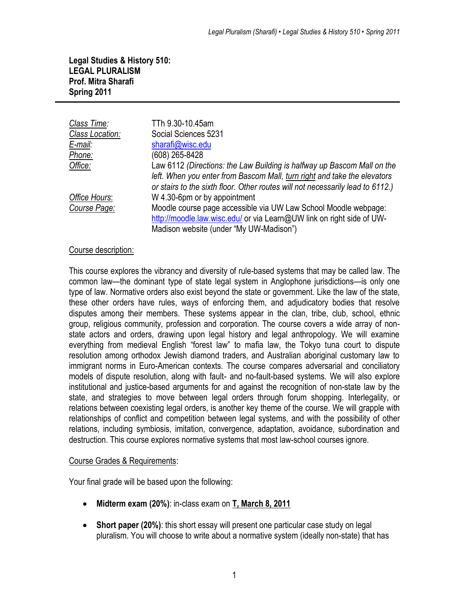**Legal Studies & History 510: LEGAL PLURALISM Prof. Mitra Sharafi Spring 2011**

| Class Time:     | TTh 9.30-10.45am                                                               |
|-----------------|--------------------------------------------------------------------------------|
| Class Location: | Social Sciences 5231                                                           |
| E-mail:         | sharafi@wisc.edu                                                               |
| Phone:          | (608) 265-8428                                                                 |
| Office:         | Law 6112 (Directions: the Law Building is halfway up Bascom Mall on the        |
|                 | left. When you enter from Bascom Mall, turn right and take the elevators       |
|                 | or stairs to the sixth floor. Other routes will not necessarily lead to 6112.) |
| Office Hours:   | W 4.30-6pm or by appointment                                                   |
| Course Page:    | Moodle course page accessible via UW Law School Moodle webpage:                |
|                 | http://moodle.law.wisc.edu/ or via Learn@UW link on right side of UW-          |
|                 | Madison website (under "My UW-Madison")                                        |

#### Course description:

This course explores the vibrancy and diversity of rule-based systems that may be called law. The common law—the dominant type of state legal system in Anglophone jurisdictions—is only one type of law. Normative orders also exist beyond the state or government. Like the law of the state, these other orders have rules, ways of enforcing them, and adjudicatory bodies that resolve disputes among their members. These systems appear in the clan, tribe, club, school, ethnic group, religious community, profession and corporation. The course covers a wide array of nonstate actors and orders, drawing upon legal history and legal anthropology. We will examine everything from medieval English "forest law" to mafia law, the Tokyo tuna court to dispute resolution among orthodox Jewish diamond traders, and Australian aboriginal customary law to immigrant norms in Euro-American contexts. The course compares adversarial and conciliatory models of dispute resolution, along with fault- and no-fault-based systems. We will also explore institutional and justice-based arguments for and against the recognition of non-state law by the state, and strategies to move between legal orders through forum shopping. Interlegality, or relations between coexisting legal orders, is another key theme of the course. We will grapple with relationships of conflict and competition between legal systems, and with the possibility of other relations, including symbiosis, imitation, convergence, adaptation, avoidance, subordination and destruction. This course explores normative systems that most law-school courses ignore.

#### Course Grades & Requirements:

Your final grade will be based upon the following:

- **Midterm exam (20%)**: in-class exam on **T, March 8, 2011**
- **Short paper (20%)**: this short essay will present one particular case study on legal pluralism. You will choose to write about a normative system (ideally non-state) that has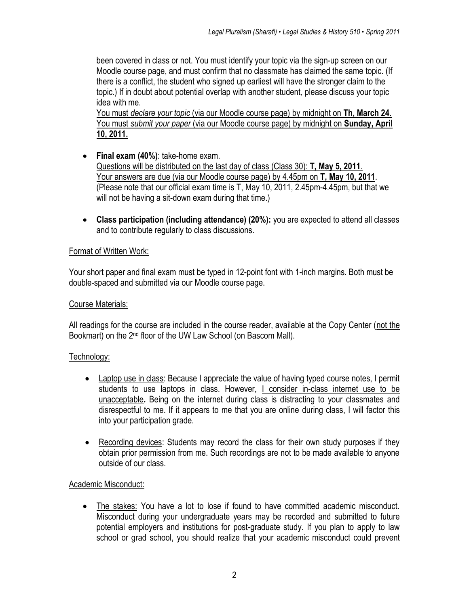been covered in class or not. You must identify your topic via the sign-up screen on our Moodle course page, and must confirm that no classmate has claimed the same topic. (If there is a conflict, the student who signed up earliest will have the stronger claim to the topic.) If in doubt about potential overlap with another student, please discuss your topic idea with me.

You must *declare your topic* (via our Moodle course page) by midnight on **Th, March 24**. You must *submit your paper* (via our Moodle course page) by midnight on **Sunday, April 10, 2011.**

- **Final exam (40%)**: take-home exam. Questions will be distributed on the last day of class (Class 30): **T, May 5, 2011**. Your answers are due (via our Moodle course page) by 4.45pm on **T, May 10, 2011**. (Please note that our official exam time is T, May 10, 2011, 2.45pm-4.45pm, but that we will not be having a sit-down exam during that time.)
- **Class participation (including attendance) (20%):** you are expected to attend all classes and to contribute regularly to class discussions.

## Format of Written Work:

Your short paper and final exam must be typed in 12-point font with 1-inch margins. Both must be double-spaced and submitted via our Moodle course page.

#### Course Materials:

All readings for the course are included in the course reader, available at the Copy Center (not the Bookmart) on the 2nd floor of the UW Law School (on Bascom Mall).

#### Technology:

- Laptop use in class: Because I appreciate the value of having typed course notes, I permit students to use laptops in class. However, I consider in-class internet use to be unacceptable*.* Being on the internet during class is distracting to your classmates and disrespectful to me. If it appears to me that you are online during class, I will factor this into your participation grade.
- Recording devices: Students may record the class for their own study purposes if they obtain prior permission from me. Such recordings are not to be made available to anyone outside of our class.

#### Academic Misconduct:

 The stakes: You have a lot to lose if found to have committed academic misconduct. Misconduct during your undergraduate years may be recorded and submitted to future potential employers and institutions for post-graduate study. If you plan to apply to law school or grad school, you should realize that your academic misconduct could prevent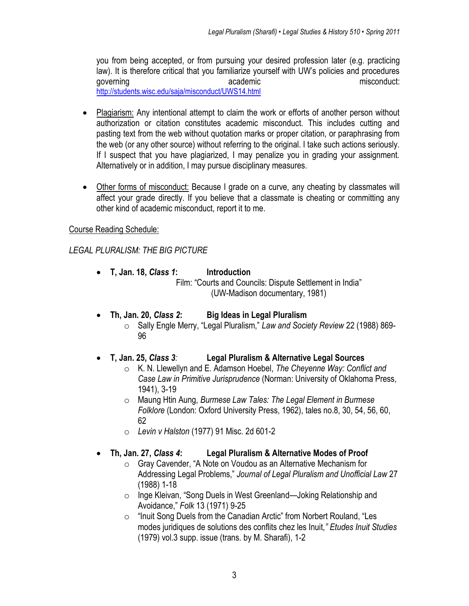you from being accepted, or from pursuing your desired profession later (e.g. practicing law). It is therefore critical that you familiarize yourself with UW"s policies and procedures action academic misconduct: academic misconduct: <http://students.wisc.edu/saja/misconduct/UWS14.html>

- Plagiarism: Any intentional attempt to claim the work or efforts of another person without authorization or citation constitutes academic misconduct. This includes cutting and pasting text from the web without quotation marks or proper citation, or paraphrasing from the web (or any other source) without referring to the original. I take such actions seriously. If I suspect that you have plagiarized, I may penalize you in grading your assignment. Alternatively or in addition, I may pursue disciplinary measures.
- Other forms of misconduct: Because I grade on a curve, any cheating by classmates will affect your grade directly. If you believe that a classmate is cheating or committing any other kind of academic misconduct, report it to me.

# Course Reading Schedule:

## *LEGAL PLURALISM: THE BIG PICTURE*

- **T, Jan. 18,** *Class 1***: Introduction**  Film: "Courts and Councils: Dispute Settlement in India" (UW-Madison documentary, 1981)
- **Th, Jan. 20,** *Class 2***: Big Ideas in Legal Pluralism**
	- o Sally Engle Merry, "Legal Pluralism," *Law and Society Review* 22 (1988) 869- 96
- **T, Jan. 25,** *Class 3:* **Legal Pluralism & Alternative Legal Sources**
	- o K. N. Llewellyn and E. Adamson Hoebel, *The Cheyenne Way: Conflict and Case Law in Primitive Jurisprudence* (Norman: University of Oklahoma Press, 1941), 3-19
	- o Maung Htin Aung, *Burmese Law Tales: The Legal Element in Burmese Folklore* (London: Oxford University Press, 1962), tales no.8, 30, 54, 56, 60, 62
	- o *Levin v Halston* (1977) 91 Misc. 2d 601-2
- **Th, Jan. 27,** *Class 4***: Legal Pluralism & Alternative Modes of Proof**
	- o Gray Cavender, "A Note on Voudou as an Alternative Mechanism for Addressing Legal Problems," *Journal of Legal Pluralism and Unofficial Law* 27 (1988) 1-18
	- o Inge Kleivan, "Song Duels in West Greenland—Joking Relationship and Avoidance," *Folk* 13 (1971) 9-25
	- o "Inuit Song Duels from the Canadian Arctic" from Norbert Rouland, "Les modes juridiques de solutions des conflits chez les Inuit*," Etudes Inuit Studies*  (1979) vol.3 supp. issue (trans. by M. Sharafi), 1-2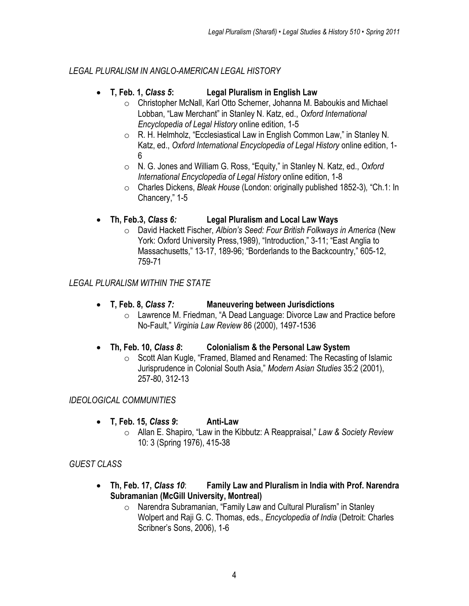#### *LEGAL PLURALISM IN ANGLO-AMERICAN LEGAL HISTORY*

## **T, Feb. 1,** *Class 5***: Legal Pluralism in English Law**

- o Christopher McNall, Karl Otto Scherner, Johanna M. Baboukis and Michael Lobban, "Law Merchant" in Stanley N. Katz, ed., *Oxford International Encyclopedia of Legal History* online edition, 1-5
- o R. H. Helmholz, "Ecclesiastical Law in English Common Law," in Stanley N. Katz, ed., *Oxford International Encyclopedia of Legal History* online edition, 1- 6
- o N. G. Jones and William G. Ross, "Equity," in Stanley N. Katz, ed., *Oxford International Encyclopedia of Legal History* online edition, 1-8
- o Charles Dickens, *Bleak House* (London: originally published 1852-3)*,* "Ch.1: In Chancery," 1-5

## **Th, Feb.3,** *Class 6:* **Legal Pluralism and Local Law Ways**

o David Hackett Fischer, *Albion's Seed: Four British Folkways in America* (New York: Oxford University Press,1989), "Introduction," 3-11; "East Anglia to Massachusetts," 13-17, 189-96; "Borderlands to the Backcountry," 605-12, 759-71

*LEGAL PLURALISM WITHIN THE STATE*

- **T, Feb. 8,** *Class 7:* **Maneuvering between Jurisdictions**
	- o Lawrence M. Friedman, "A Dead Language: Divorce Law and Practice before No-Fault," *Virginia Law Review* 86 (2000), 1497-1536

## **Th, Feb. 10,** *Class 8***: Colonialism & the Personal Law System**

o Scott Alan Kugle, "Framed, Blamed and Renamed: The Recasting of Islamic Jurisprudence in Colonial South Asia," *Modern Asian Studies* 35:2 (2001), 257-80, 312-13

## *IDEOLOGICAL COMMUNITIES*

- **T, Feb. 15,** *Class 9***: Anti-Law**
	- o Allan E. Shapiro, "Law in the Kibbutz: A Reappraisal," *Law & Society Review* 10: 3 (Spring 1976), 415-38

## *GUEST CLASS*

- **Th, Feb. 17,** *Class 10*: **Family Law and Pluralism in India with Prof. Narendra Subramanian (McGill University, Montreal)** 
	- o Narendra Subramanian, "Family Law and Cultural Pluralism" in Stanley Wolpert and Raji G. C. Thomas, eds., *Encyclopedia of India* (Detroit: Charles Scribner"s Sons, 2006), 1-6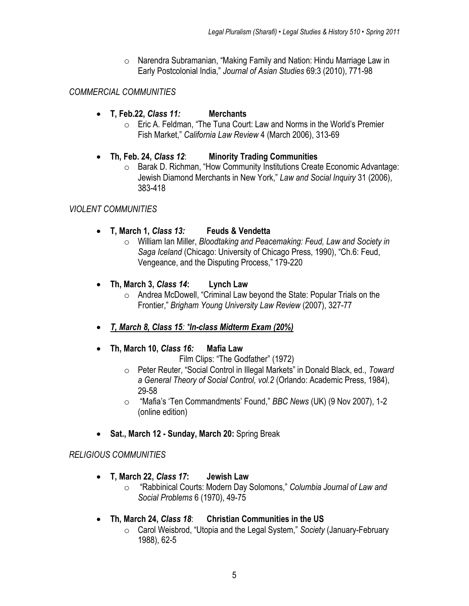o Narendra Subramanian, "Making Family and Nation: Hindu Marriage Law in Early Postcolonial India," *Journal of Asian Studies* 69:3 (2010), 771-98

#### *COMMERCIAL COMMUNITIES*

- **T, Feb.22,** *Class 11:* **Merchants**
	- o Eric A. Feldman, "The Tuna Court: Law and Norms in the World"s Premier Fish Market," *California Law Review* 4 (March 2006), 313-69

#### **Th, Feb. 24,** *Class 12*: **Minority Trading Communities**

o Barak D. Richman, "How Community Institutions Create Economic Advantage: Jewish Diamond Merchants in New York," *Law and Social Inquiry* 31 (2006), 383-418

#### *VIOLENT COMMUNITIES*

- **T, March 1,** *Class 13:* **Feuds & Vendetta**
	- o William Ian Miller, *Bloodtaking and Peacemaking: Feud, Law and Society in Saga Iceland* (Chicago: University of Chicago Press, 1990), "Ch.6: Feud, Vengeance, and the Disputing Process," 179-220
- **Th, March 3,** *Class 14***: Lynch Law**
	- o Andrea McDowell, "Criminal Law beyond the State: Popular Trials on the Frontier," *Brigham Young University Law Review* (2007), 327-77
- *T, March 8, Class 15: \*In-class Midterm Exam (20%)*

#### **Th, March 10,** *Class 16:* **Mafia Law**

Film Clips: "The Godfather" (1972)

- o Peter Reuter, "Social Control in Illegal Markets" in Donald Black, ed., *Toward a General Theory of Social Control, vol.2* (Orlando: Academic Press, 1984), 29-58
- o "Mafia"s "Ten Commandments" Found," *BBC News* (UK) (9 Nov 2007), 1-2 (online edition)
- **Sat., March 12 - Sunday, March 20:** Spring Break

## *RELIGIOUS COMMUNITIES*

- **T, March 22,** *Class 17***: Jewish Law**
	- o "Rabbinical Courts: Modern Day Solomons," *Columbia Journal of Law and Social Problems* 6 (1970), 49-75
- **Th, March 24,** *Class 18*: **Christian Communities in the US**
	- o Carol Weisbrod, "Utopia and the Legal System," *Society* (January-February 1988), 62-5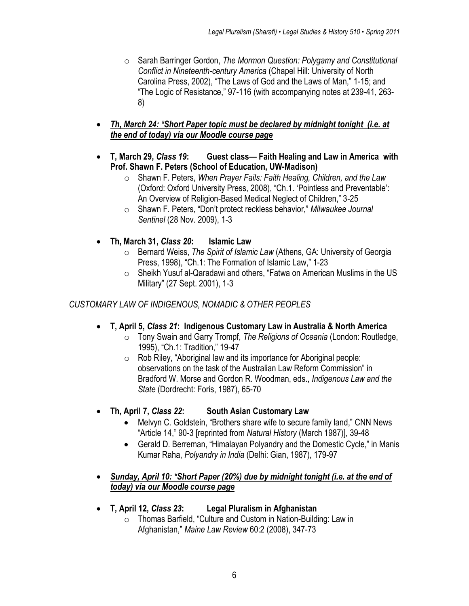- o Sarah Barringer Gordon, *The Mormon Question: Polygamy and Constitutional Conflict in Nineteenth-century America* (Chapel Hill: University of North Carolina Press, 2002), "The Laws of God and the Laws of Man," 1-15; and "The Logic of Resistance," 97-116 (with accompanying notes at 239-41, 263- 8)
- *Th, March 24: \*Short Paper topic must be declared by midnight tonight (i.e. at the end of today) via our Moodle course page*
- **T, March 29,** *Class 19***: Guest class— Faith Healing and Law in America with Prof. Shawn F. Peters (School of Education, UW-Madison)** 
	- o Shawn F. Peters, *When Prayer Fails: Faith Healing, Children, and the Law*  (Oxford: Oxford University Press, 2008), "Ch.1. "Pointless and Preventable": An Overview of Religion-Based Medical Neglect of Children," 3-25
	- o Shawn F. Peters, "Don"t protect reckless behavior," *Milwaukee Journal Sentinel* (28 Nov. 2009), 1-3
- **Th, March 31,** *Class 20***: Islamic Law**
	- o Bernard Weiss, *The Spirit of Islamic Law* (Athens, GA: University of Georgia Press, 1998), "Ch.1: The Formation of Islamic Law," 1-23
	- o Sheikh Yusuf al-Qaradawi and others, "Fatwa on American Muslims in the US Military" (27 Sept. 2001), 1-3

## *CUSTOMARY LAW OF INDIGENOUS, NOMADIC & OTHER PEOPLES*

- **T, April 5,** *Class 21***: Indigenous Customary Law in Australia & North America**
	- o Tony Swain and Garry Trompf, *The Religions of Oceania* (London: Routledge, 1995), "Ch.1: Tradition," 19-47
	- o Rob Riley, "Aboriginal law and its importance for Aboriginal people: observations on the task of the Australian Law Reform Commission" in Bradford W. Morse and Gordon R. Woodman, eds., *Indigenous Law and the State* (Dordrecht: Foris, 1987), 65-70
- **Th, April 7,** *Class 22***: South Asian Customary Law**
	- Melvyn C. Goldstein, "Brothers share wife to secure family land," CNN News "Article 14," 90-3 [reprinted from *Natural History* (March 1987)], 39-48
	- Gerald D. Berreman, "Himalayan Polyandry and the Domestic Cycle," in Manis Kumar Raha, *Polyandry in India* (Delhi: Gian, 1987), 179-97
- *Sunday, April 10: \*Short Paper (20%) due by midnight tonight (i.e. at the end of today) via our Moodle course page*
- **T, April 12,** *Class 23***: Legal Pluralism in Afghanistan**
	- o Thomas Barfield, "Culture and Custom in Nation-Building: Law in Afghanistan," *Maine Law Review* 60:2 (2008), 347-73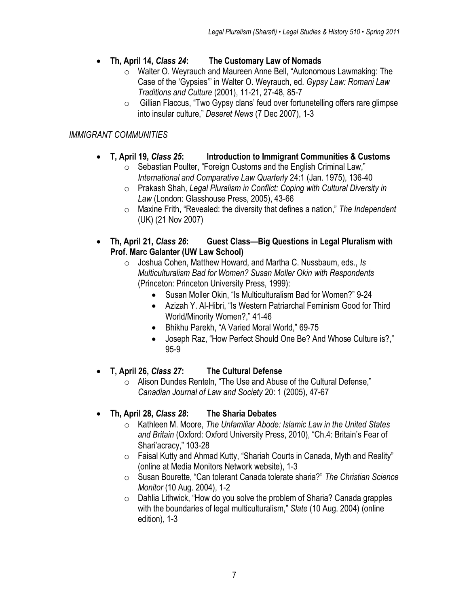- **Th, April 14,** *Class 24***: The Customary Law of Nomads**
	- o Walter O. Weyrauch and Maureen Anne Bell, "Autonomous Lawmaking: The Case of the "Gypsies"" in Walter O. Weyrauch, ed. *Gypsy Law: Romani Law Traditions and Culture* (2001), 11-21, 27-48, 85-7
	- o Gillian Flaccus, "Two Gypsy clans" feud over fortunetelling offers rare glimpse into insular culture," *Deseret News* (7 Dec 2007), 1-3

# *IMMIGRANT COMMUNITIES*

- **T, April 19,** *Class 25***: Introduction to Immigrant Communities & Customs**
	- o Sebastian Poulter, "Foreign Customs and the English Criminal Law," *International and Comparative Law Quarterly* 24:1 (Jan. 1975), 136-40
	- o Prakash Shah, *Legal Pluralism in Conflict: Coping with Cultural Diversity in Law* (London: Glasshouse Press, 2005), 43-66
	- o Maxine Frith, "Revealed: the diversity that defines a nation," *The Independent*  (UK) (21 Nov 2007)
- **Th, April 21,** *Class 26***: Guest Class—Big Questions in Legal Pluralism with Prof. Marc Galanter (UW Law School)**
	- o Joshua Cohen, Matthew Howard, and Martha C. Nussbaum, eds., *Is Multiculturalism Bad for Women? Susan Moller Okin with Respondents* (Princeton: Princeton University Press, 1999):
		- Susan Moller Okin, "Is Multiculturalism Bad for Women?" 9-24
		- Azizah Y. Al-Hibri, "Is Western Patriarchal Feminism Good for Third World/Minority Women?," 41-46
		- Bhikhu Parekh, "A Varied Moral World," 69-75
		- Joseph Raz, "How Perfect Should One Be? And Whose Culture is?," 95-9
- **T, April 26,** *Class 27***: The Cultural Defense**
	- o Alison Dundes Renteln, "The Use and Abuse of the Cultural Defense," *Canadian Journal of Law and Society* 20: 1 (2005), 47-67
- **Th, April 28,** *Class 28***: The Sharia Debates**
	- o Kathleen M. Moore, *The Unfamiliar Abode: Islamic Law in the United States and Britain* (Oxford: Oxford University Press, 2010), "Ch.4: Britain"s Fear of Shari"acracy," 103-28
	- o Faisal Kutty and Ahmad Kutty, "Shariah Courts in Canada, Myth and Reality" (online at Media Monitors Network website), 1-3
	- o Susan Bourette, "Can tolerant Canada tolerate sharia?" *The Christian Science Monitor* (10 Aug. 2004), 1-2
	- o Dahlia Lithwick, "How do you solve the problem of Sharia? Canada grapples with the boundaries of legal multiculturalism," *Slate* (10 Aug. 2004) (online edition), 1-3